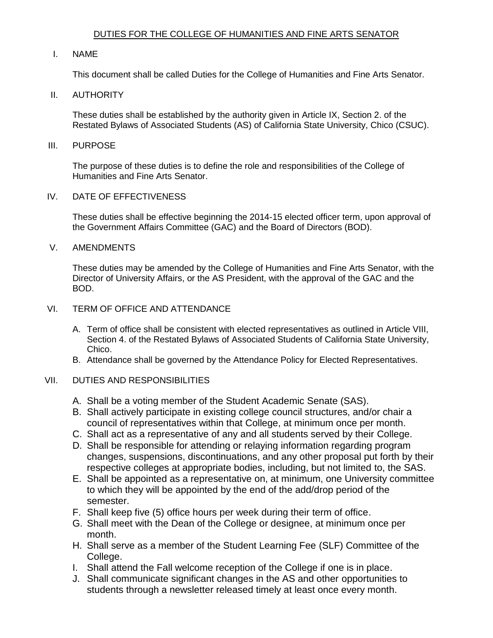# DUTIES FOR THE COLLEGE OF HUMANITIES AND FINE ARTS SENATOR

## I. NAME

This document shall be called Duties for the College of Humanities and Fine Arts Senator.

### II. AUTHORITY

 These duties shall be established by the authority given in Article IX, Section 2. of the Restated Bylaws of Associated Students (AS) of California State University, Chico (CSUC).

#### III. PURPOSE

 The purpose of these duties is to define the role and responsibilities of the College of Humanities and Fine Arts Senator.

# IV. DATE OF EFFECTIVENESS

 These duties shall be effective beginning the 2014-15 elected officer term, upon approval of the Government Affairs Committee (GAC) and the Board of Directors (BOD).

### V. AMENDMENTS

 These duties may be amended by the College of Humanities and Fine Arts Senator, with the Director of University Affairs, or the AS President, with the approval of the GAC and the BOD.

### VI. TERM OF OFFICE AND ATTENDANCE

- A. Term of office shall be consistent with elected representatives as outlined in Article VIII, Section 4. of the Restated Bylaws of Associated Students of California State University, Chico.
- B. Attendance shall be governed by the Attendance Policy for Elected Representatives.

# VII. DUTIES AND RESPONSIBILITIES

- A. Shall be a voting member of the Student Academic Senate (SAS).
- B. Shall actively participate in existing college council structures, and/or chair a council of representatives within that College, at minimum once per month.
- C. Shall act as a representative of any and all students served by their College.
- D. Shall be responsible for attending or relaying information regarding program changes, suspensions, discontinuations, and any other proposal put forth by their respective colleges at appropriate bodies, including, but not limited to, the SAS.
- to which they will be appointed by the end of the add/drop period of the E. Shall be appointed as a representative on, at minimum, one University committee semester.
- F. Shall keep five (5) office hours per week during their term of office.
- G. Shall meet with the Dean of the College or designee, at minimum once per month.
- H. Shall serve as a member of the Student Learning Fee (SLF) Committee of the College.
- I. Shall attend the Fall welcome reception of the College if one is in place.
- J. Shall communicate significant changes in the AS and other opportunities to students through a newsletter released timely at least once every month.